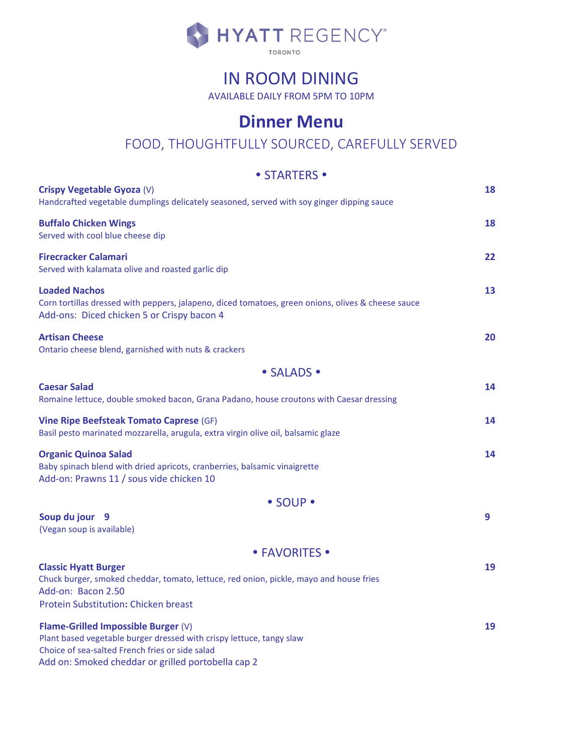

# IN ROOM DINING

AVAILABLE DAILY FROM 5PM TO 10PM

## **Dinner Menu**

### FOOD, THOUGHTFULLY SOURCED, CAREFULLY SERVED

#### • STARTERS •

| Crispy Vegetable Gyoza (V)<br>Handcrafted vegetable dumplings delicately seasoned, served with soy ginger dipping sauce                                                                                              | 18 |
|----------------------------------------------------------------------------------------------------------------------------------------------------------------------------------------------------------------------|----|
| <b>Buffalo Chicken Wings</b><br>Served with cool blue cheese dip                                                                                                                                                     | 18 |
| <b>Firecracker Calamari</b><br>Served with kalamata olive and roasted garlic dip                                                                                                                                     | 22 |
| <b>Loaded Nachos</b><br>Corn tortillas dressed with peppers, jalapeno, diced tomatoes, green onions, olives & cheese sauce<br>Add-ons: Diced chicken 5 or Crispy bacon 4                                             | 13 |
| <b>Artisan Cheese</b><br>Ontario cheese blend, garnished with nuts & crackers                                                                                                                                        | 20 |
| • SALADS •                                                                                                                                                                                                           |    |
| <b>Caesar Salad</b><br>Romaine lettuce, double smoked bacon, Grana Padano, house croutons with Caesar dressing                                                                                                       | 14 |
| <b>Vine Ripe Beefsteak Tomato Caprese (GF)</b><br>Basil pesto marinated mozzarella, arugula, extra virgin olive oil, balsamic glaze                                                                                  | 14 |
| <b>Organic Quinoa Salad</b><br>Baby spinach blend with dried apricots, cranberries, balsamic vinaigrette<br>Add-on: Prawns 11 / sous vide chicken 10                                                                 | 14 |
| • SOUP •                                                                                                                                                                                                             |    |
| Soup du jour 9<br>(Vegan soup is available)                                                                                                                                                                          | 9  |
| • FAVORITES •                                                                                                                                                                                                        |    |
| <b>Classic Hyatt Burger</b><br>Chuck burger, smoked cheddar, tomato, lettuce, red onion, pickle, mayo and house fries<br>Add-on: Bacon 2.50<br>Protein Substitution: Chicken breast                                  | 19 |
| Flame-Grilled Impossible Burger (V)<br>Plant based vegetable burger dressed with crispy lettuce, tangy slaw<br>Choice of sea-salted French fries or side salad<br>Add on: Smoked cheddar or grilled portobella cap 2 | 19 |